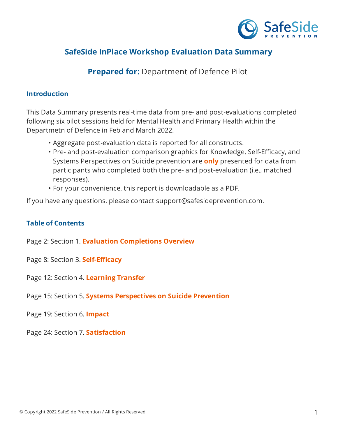

# **SafeSide InPlace Workshop Evaluation Data Summary**

## **Prepared for:** Department of Defence Pilot

#### **Introduction**

This Data Summary presents real-time data from pre- and post-evaluations completed following six pilot sessions held for Mental Health and Primary Health within the Departmetn of Defence in Feb and March 2022.

- Aggregate post-evaluation data is reported for all constructs.
- Pre- and post-evaluation comparison graphics for Knowledge, Self-Efficacy, and Systems Perspectives on Suicide prevention are **only** presented for data from participants who completed both the pre- and post-evaluation (i.e., matched responses).
- For your convenience, this report is downloadable as a PDF.

If you have any questions, please contact support@safesideprevention.com.

### **Table of Contents**

Page 2: Section 1. **Evaluation Completions Overview**

Page 8: Section 3. **Self-Efficacy** 

Page 12: Section 4. **Learning Transfer**

Page 15: Section 5. **Systems Perspectives on Suicide Prevention**

Page 19: Section 6. **Impact**

Page 24: Section 7. **Satisfaction**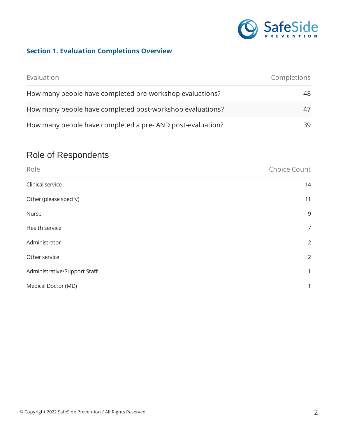

# **Section 1. Evaluation Completions Overview**

| Evaluation                                                | Completions |
|-----------------------------------------------------------|-------------|
| How many people have completed pre-workshop evaluations?  | 48.         |
| How many people have completed post-workshop evaluations? |             |
| How many people have completed a pre-AND post-evaluation? | 39.         |

# Role of Respondents

| Role                         | Choice Count   |
|------------------------------|----------------|
| Clinical service             | 14             |
| Other (please specify)       | 11             |
| Nurse                        | 9              |
| Health service               | $\overline{7}$ |
| Administrator                | $\overline{2}$ |
| Other service                | $\overline{2}$ |
| Administrative/Support Staff | $\mathbf{1}$   |
| Medical Doctor (MD)          | $\mathbf{1}$   |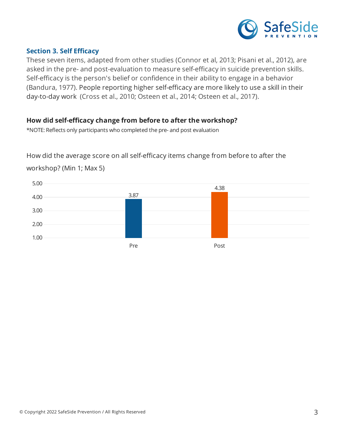

#### **Section 3. Self Ecacy**

These seven items, adapted from other studies (Connor et al, 2013; Pisani et al., 2012), are asked in the pre- and post-evaluation to measure self-efficacy in suicide prevention skills. Self-efficacy is the person's belief or confidence in their ability to engage in a behavior (Bandura, 1977). People reporting higher self-efficacy are more likely to use a skill in their day-to-day work (Cross et al., 2010; Osteen et al., 2014; Osteen et al., 2017).

### **How did self-ecacy change from before to after the workshop?**

\*NOTE: Reflects only participants who completed the pre- and post evaluation

How did the average score on all self-efficacy items change from before to after the



workshop? (Min 1; Max 5)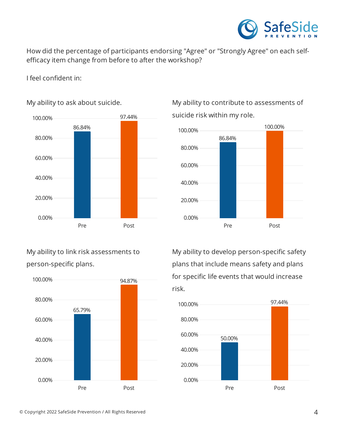

How did the percentage of participants endorsing "Agree" or "Strongly Agree" on each selfefficacy item change from before to after the workshop?

I feel confident in:



My ability to ask about suicide.

My ability to link risk assessments to person-specific plans.



My ability to contribute to assessments of suicide risk within my role.



My ability to develop person-specific safety plans that include means safety and plans for specific life events that would increase risk.

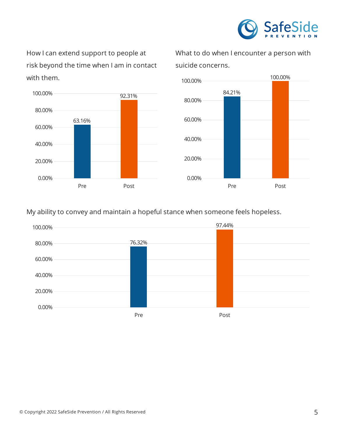

How I can extend support to people at risk beyond the time when I am in contact with them.



What to do when I encounter a person with suicide concerns.



My ability to convey and maintain a hopeful stance when someone feels hopeless.

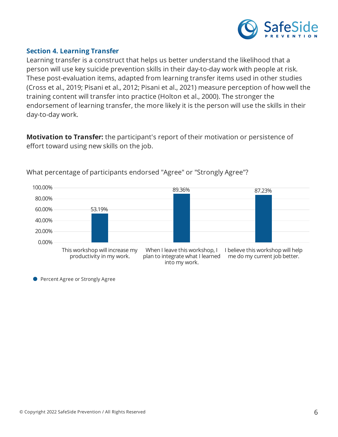

### **Section 4. Learning Transfer**

Learning transfer is a construct that helps us better understand the likelihood that a person will use key suicide prevention skills in their day-to-day work with people at risk. These post-evaluation items, adapted from learning transfer items used in other studies (Cross et al., 2019; Pisani et al., 2012; Pisani et al., 2021) measure perception of how well the training content will transfer into practice (Holton et al., 2000). The stronger the endorsement of learning transfer, the more likely it is the person will use the skills in their day-to-day work.

**Motivation to Transfer:** the participant's report of their motivation or persistence of effort toward using new skills on the job.



What percentage of participants endorsed "Agree" or "Strongly Agree"?

**• Percent Agree or Strongly Agree**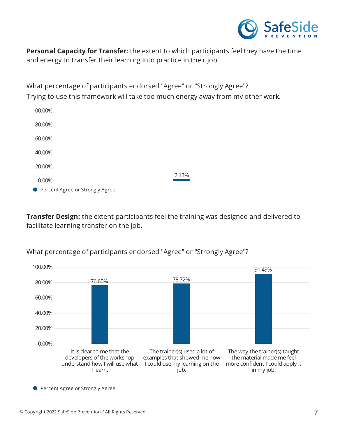

**Personal Capacity for Transfer:** the extent to which participants feel they have the time and energy to transfer their learning into practice in their job.

What percentage of participants endorsed "Agree" or "Strongly Agree"? Trying to use this framework will take too much energy away from my other work.

| 100.00%                           |       |
|-----------------------------------|-------|
| 80.00%                            |       |
| 60.00%                            |       |
| 40.00%                            |       |
| 20.00%                            |       |
| 0.00%                             | 2.13% |
| ● Percent Agree or Strongly Agree |       |

**Transfer Design:** the extent participants feel the training was designed and delivered to facilitate learning transfer on the job.

What percentage of participants endorsed "Agree" or "Strongly Agree"?



**• Percent Agree or Strongly Agree**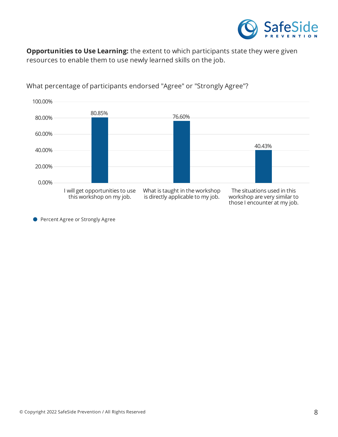

**Opportunities to Use Learning:** the extent to which participants state they were given resources to enable them to use newly learned skills on the job.



What percentage of participants endorsed "Agree" or "Strongly Agree"?

**Percent Agree or Strongly Agree**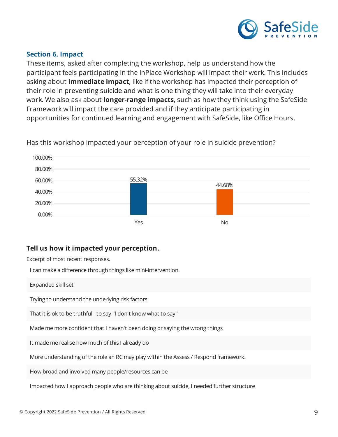

#### **Section 6. Impact**

These items, asked after completing the workshop, help us understand how the participant feels participating in the InPlace Workshop will impact their work. This includes asking about **immediate impact**, like if the workshop has impacted their perception of their role in preventing suicide and what is one thing they will take into their everyday work. We also ask about **longer-range impacts**, such as how they think using the SafeSide Framework will impact the care provided and if they anticipate participating in opportunities for continued learning and engagement with SafeSide, like Office Hours.



Has this workshop impacted your perception of your role in suicide prevention?

### **Tell us how it impacted your perception.**

Excerpt of most recent responses.

I can make a difference through things like mini-intervention.

Expanded skill set

Trying to understand the underlying risk factors

That it is ok to be truthful - to say "I don't know what to say"

Made me more confident that I haven't been doing or saying the wrong things

It made me realise how much of this I already do

More understanding of the role an RC may play within the Assess / Respond framework.

How broad and involved many people/resources can be

Impacted how I approach people who are thinking about suicide, I needed further structure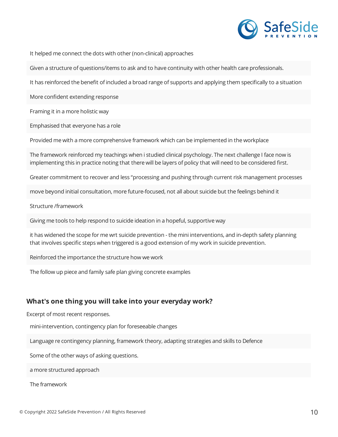

It helped me connect the dots with other (non-clinical) approaches

Given a structure of questions/items to ask and to have continuity with other health care professionals.

It has reinforced the benefit of included a broad range of supports and applying them specifically to a situation

More confident extending response

Framing it in a more holistic way

Emphasised that everyone has a role

Provided me with a more comprehensive framework which can be implemented in the workplace

The framework reinforced my teachings when i studied clinical psychology. The next challenge I face now is implementing this in practice noting that there will be layers of policy that will need to be considered first.

Greater commitment to recover and less "processing and pushing through current risk management processes

move beyond initial consultation, more future-focused, not all about suicide but the feelings behind it

Structure /framework

Giving me tools to help respond to suicide ideation in a hopeful, supportive way

it has widened the scope for me wrt suicide prevention - the mini interventions, and in-depth safety planning that involves specific steps when triggered is a good extension of my work in suicide prevention.

Reinforced the importance the structure how we work

The follow up piece and family safe plan giving concrete examples

#### **What's one thing you will take into your everyday work?**

Excerpt of most recent responses.

mini-intervention, contingency plan for foreseeable changes

Language re contingency planning, framework theory, adapting strategies and skills to Defence

Some of the other ways of asking questions.

a more structured approach

The framework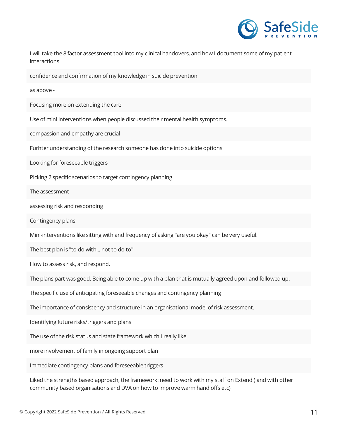

I will take the 8 factor assessment tool into my clinical handovers, and how I document some of my patient interactions.

confidence and confirmation of my knowledge in suicide prevention

as above -

Focusing more on extending the care

Use of mini interventions when people discussed their mental health symptoms.

compassion and empathy are crucial

Furhter understanding of the research someone has done into suicide options

Looking for foreseeable triggers

Picking 2 specific scenarios to target contingency planning

The assessment

assessing risk and responding

Contingency plans

Mini-interventions like sitting with and frequency of asking "are you okay" can be very useful.

The best plan is "to do with... not to do to"

How to assess risk, and respond.

The plans part was good. Being able to come up with a plan that is mutually agreed upon and followed up.

The specific use of anticipating foreseeable changes and contingency planning

The importance of consistency and structure in an organisational model of risk assessment.

Identifying future risks/triggers and plans

The use of the risk status and state framework which I really like.

more involvement of family in ongoing support plan

Immediate contingency plans and foreseeable triggers

Liked the strengths based approach, the framework: need to work with my staff on Extend (and with other community based organisations and DVA on how to improve warm hand offs etc)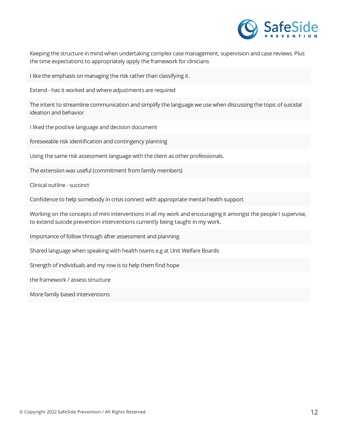

Keeping the structure in mind when undertaking complex case management, supervision and case reviews. Plus the time expectations to appropriately apply the framework for clinicians

I like the emphasis on managing the risk rather than classifying it.

Extend - has it worked and where adjustments are required

The intent to streamline communication and simplify the language we use when discussing the topic of suicidal ideation and behavior

I liked the positive language and decision document

foreseeable risk identification and contingency planning

Using the same risk assessment language with the client as other professionals.

The extension was useful (commitment from family members)

Clinical outline - succinct

Confidence to help somebody in crisis connect with appropriate mental health support

Working on the concepts of mini interventions in all my work and encouraging it amongst the people I supervise, to extend suicide prevention interventions currently being taught in my work.

Importance of follow through after assessment and planning

Shared language when speaking with health teams e.g at Unit Welfare Boards

Strength of individuals and my row is to help them find hope

the framework / assess structure

More family based interventions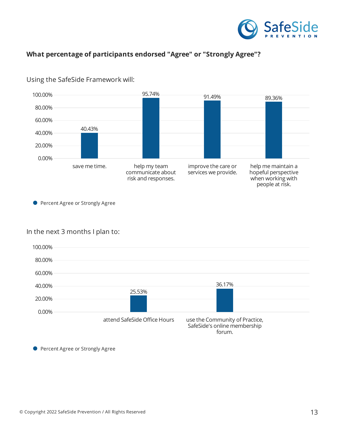

### **What percentage of participants endorsed "Agree" or "Strongly Agree"?**



#### Using the SafeSide Framework will:

**• Percent Agree or Strongly Agree** 

#### In the next 3 months I plan to:



**• Percent Agree or Strongly Agree**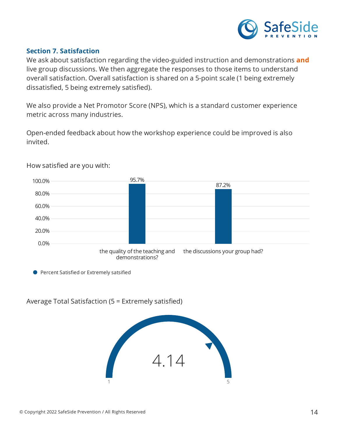

### **Section 7. Satisfaction**

We ask about satisfaction regarding the video-guided instruction and demonstrations **and** live group discussions. We then aggregate the responses to those items to understand overall satisfaction. Overall satisfaction is shared on a 5-point scale (1 being extremely dissatisfied, 5 being extremely satisfied).

We also provide a Net Promotor Score (NPS), which is a standard customer experience metric across many industries.

Open-ended feedback about how the workshop experience could be improved is also invited.



How satisfied are you with:

**Percent Satisfied or Extremely satsified** 

Average Total Satisfaction ( $5$  = Extremely satisfied)

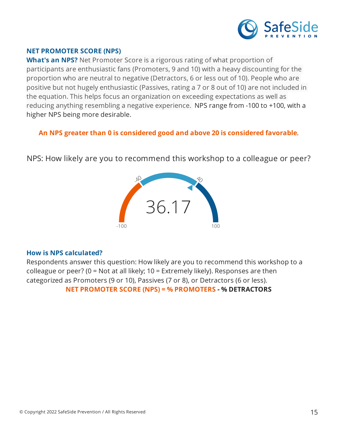

### **NET PROMOTER SCORE (NPS)**

**What's an NPS?** Net Promoter Score is a rigorous rating of what proportion of participants are enthusiastic fans (Promoters, 9 and 10) with a heavy discounting for the proportion who are neutral to negative (Detractors, 6 or less out of 10). People who are positive but not hugely enthusiastic (Passives, rating a 7 or 8 out of 10) are not included in the equation. This helps focus an organization on exceeding expectations as well as reducing anything resembling a negative experience. NPS range from -100 to +100, with a higher NPS being more desirable.

### **An NPS greater than 0 is considered good and above 20 is considered favorable**.

NPS: How likely are you to recommend this workshop to a colleague or peer?



#### **How is NPS calculated?**

Respondents answer this question: How likely are you to recommend this workshop to a colleague or peer? (0 = Not at all likely; 10 = Extremely likely). Responses are then categorized as Promoters (9 or 10), Passives (7 or 8), or Detractors (6 or less). **NET PROMOTER SCORE (NPS) = % PROMOTERS - % DETRACTORS**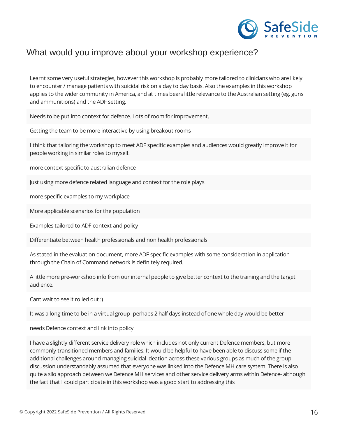

# What would you improve about your workshop experience?

Learnt some very useful strategies, however this workshop is probably more tailored to clinicians who are likely to encounter / manage patients with suicidal risk on a day to day basis. Also the examples in this workshop applies to the wider community in America, and at times bears little relevance to the Australian setting (eg. guns and ammunitions) and the ADF setting.

Needs to be put into context for defence. Lots of room for improvement.

Getting the team to be more interactive by using breakout rooms

I think that tailoring the workshop to meet ADF specific examples and audiences would greatly improve it for people working in similar roles to myself.

more context specific to australian defence

Just using more defence related language and context for the role plays

more specific examples to my workplace

More applicable scenarios for the population

Examples tailored to ADF context and policy

Differentiate between health professionals and non health professionals

As stated in the evaluation document, more ADF specific examples with some consideration in application through the Chain of Command network is definitely required.

A little more pre-workshop info from our internal people to give better context to the training and the target audience.

Cant wait to see it rolled out :)

It was a long time to be in a virtual group- perhaps 2 half days instead of one whole day would be better

needs Defence context and link into policy

I have a slightly different service delivery role which includes not only current Defence members, but more commonly transitioned members and families. It would be helpful to have been able to discuss some if the additional challenges around managing suicidal ideation across these various groups as much of the group discussion understandably assumed that everyone was linked into the Defence MH care system. There is also quite a silo approach between we Defence MH services and other service delivery arms within Defence- although the fact that I could participate in this workshop was a good start to addressing this